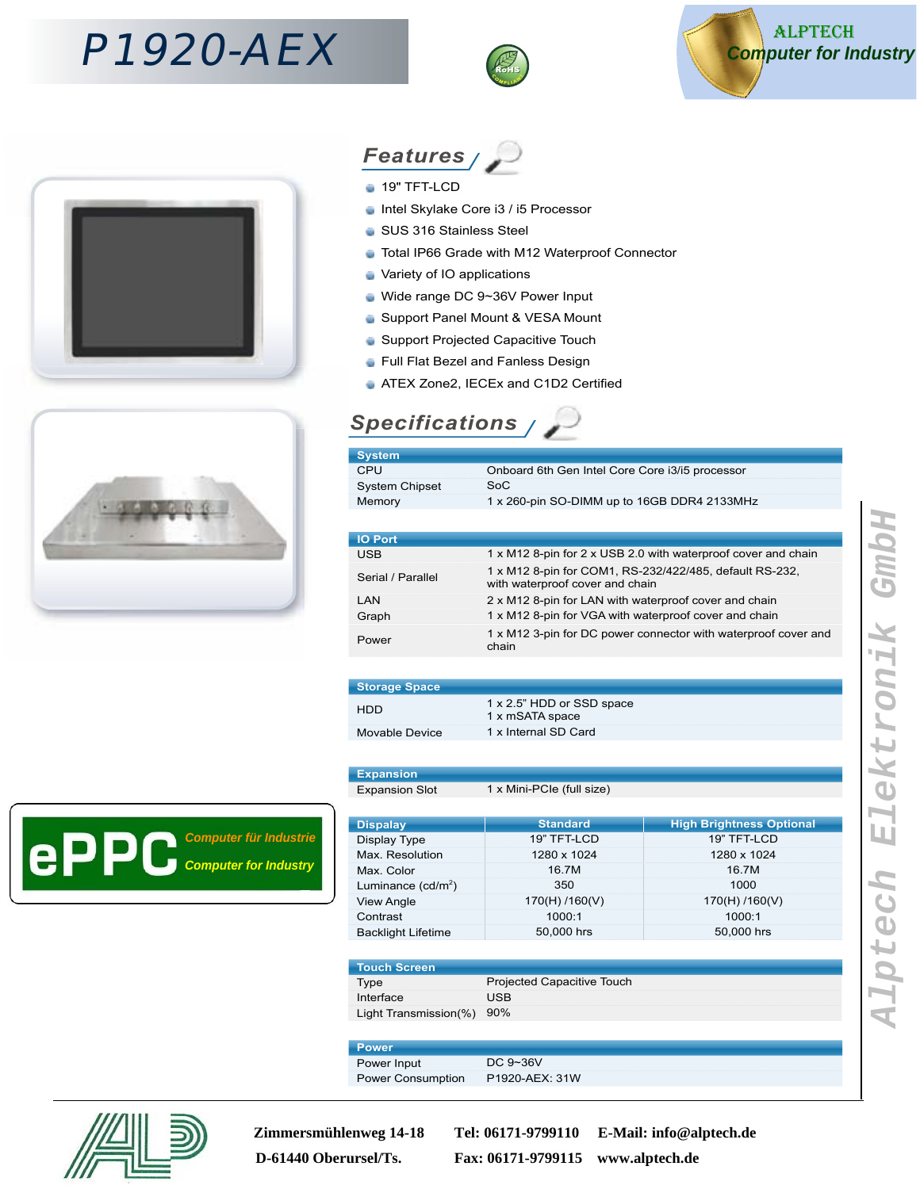# P1920-AEX











- Intel Skylake Core i3 / i5 Processor ÷
- SUS 316 Stainless Steel
- Total IP66 Grade with M12 Waterproof Connector ÷
- Variety of IO applications ŵ
- ŵ Wide range DC 9~36V Power Input
- Support Panel Mount & VESA Mount ö
- **Support Projected Capacitive Touch**
- **Full Flat Bezel and Fanless Design**
- **ATEX Zone2, IECEx and C1D2 Certified**

### **Specifications**

| <b>System</b>         |                                                 |
|-----------------------|-------------------------------------------------|
| CPU                   | Onboard 6th Gen Intel Core Core i3/i5 processor |
| <b>System Chipset</b> | SoC                                             |
| Memory                | 1 x 260-pin SO-DIMM up to 16GB DDR4 2133MHz     |
|                       |                                                 |

| <b>IO Port</b>    |                                                                                            |
|-------------------|--------------------------------------------------------------------------------------------|
| <b>USB</b>        | 1 x M12 8-pin for 2 x USB 2.0 with waterproof cover and chain                              |
| Serial / Parallel | 1 x M12 8-pin for COM1, RS-232/422/485, default RS-232,<br>with waterproof cover and chain |
| I AN              | 2 x M12 8-pin for LAN with waterproof cover and chain                                      |
| Graph             | 1 x M12 8-pin for VGA with waterproof cover and chain                                      |
| Power             | 1 x M12 3-pin for DC power connector with waterproof cover and<br>chain                    |
|                   |                                                                                            |

| <b>Storage Space</b> |                                              |
|----------------------|----------------------------------------------|
| HDD.                 | 1 x 2.5" HDD or SSD space<br>1 x mSATA space |
| Movable Device       | 1 x Internal SD Card                         |

### **Expansion**

Expansion Slot 1 x Mini-PCIe (full size)

| <b>Dispalay</b>           | <b>Standard</b> | <b>High Brightness Optional</b> |
|---------------------------|-----------------|---------------------------------|
| Display Type              | 19" TFT-LCD     | 19" TFT-LCD                     |
| Max. Resolution           | 1280 x 1024     | 1280 x 1024                     |
| Max. Color                | 16.7M           | 16.7M                           |
| Luminance $(cd/m^2)$      | 350             | 1000                            |
| <b>View Angle</b>         | 170(H) / 160(V) | 170(H) / 160(V)                 |
| Contrast                  | 1000:1          | 1000:1                          |
| <b>Backlight Lifetime</b> | 50,000 hrs      | 50,000 hrs                      |

| NTouch Screen \           |                                   |
|---------------------------|-----------------------------------|
| Type                      | <b>Projected Capacitive Touch</b> |
| Interface                 | USB                               |
| Light Transmission(%) 90% |                                   |

| <b>Power</b>             |                |
|--------------------------|----------------|
| Power Input              | DC $9 - 36V$   |
| <b>Power Consumption</b> | P1920-AEX: 31W |



**Zimmersmühlenweg 14-18 Tel: 06171-9799110 E-Mail: info@alptech.de D-61440 Oberursel/Ts. Fax: 06171-9799115 www.alptech.de**



**Computer for Industry Computer für Industrie**